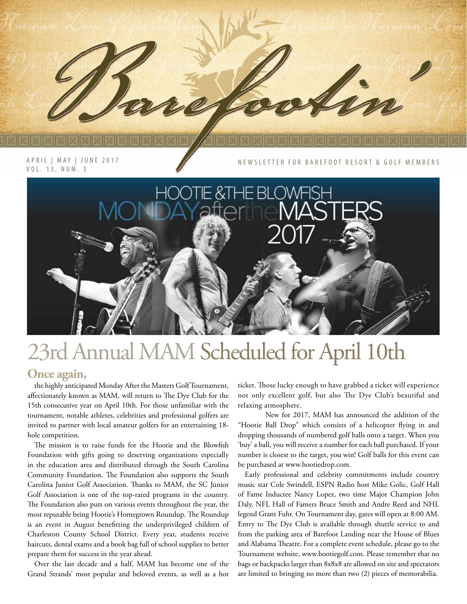

NEWSLETTER FOR BAREFOOT RESORT & GOLF MEMBERS



# 23rd Annual MAM Scheduled for April 10th

#### **Once again,**

the highly anticipated Monday After the Masters Golf Tournament, affectionately known as MAM, will return to The Dye Club for the 15th consecutive year on April 10th. For those unfamiliar with the tournament, notable athletes, celebrities and professional golfers are invited to partner with local amateur golfers for an entertaining 18 hole competition.

The mission is to raise funds for the Hootie and the Blowfish Foundation with gifts going to deserving organizations especially in the education area and distributed through the South Carolina Community Foundation. The Foundation also supports the South Carolina Junior Golf Association. Thanks to MAM, the SC Junior Golf Association is one of the top-rated programs in the country. The Foundation also puts on various events throughout the year, the most reputable being Hootie's Homegrown Roundup. The Roundup is an event in August benefitting the underprivileged children of Charleston County School District. Every year, students receive haircuts, dental exams and a book bag full of school supplies to better prepare them for success in the year ahead.

Over the last decade and a half, MAM has become one of the Grand Strands' most popular and beloved events, as well as a hot

ticket. Those lucky enough to have grabbed a ticket will experience not only excellent golf, but also The Dye Club's beautiful and relaxing atmosphere.

New for 2017, MAM has announced the addition of the "Hootie Ball Drop" which consists of a helicopter flying in and dropping thousands of numbered golf balls onto a target. When you 'buy' a ball, you will receive a number for each ball purchased. If your number is closest to the target, you win! Golf balls for this event can be purchased at www.hootiedrop.com.

Early professional and celebrity commitments include country music star Cole Swindell, ESPN Radio host Mike Golic, Golf Hall of Fame Inductee Nancy Lopez, two time Major Champion John Daly, NFL Hall of Famers Bruce Smith and Andre Reed and NHL legend Grant Fuhr. On Tournament day, gates will open at 8:00 AM. Entry to The Dye Club is available through shuttle service to and from the parking area of Barefoot Landing near the House of Blues and Alabama Theatre. For a complete event schedule, please go to the Tournament website, www.hootiegolf.com. Please remember that no bags or backpacks larger than 8x8x8 are allowed on site and spectators are limited to bringing no more than two (2) pieces of memorabilia.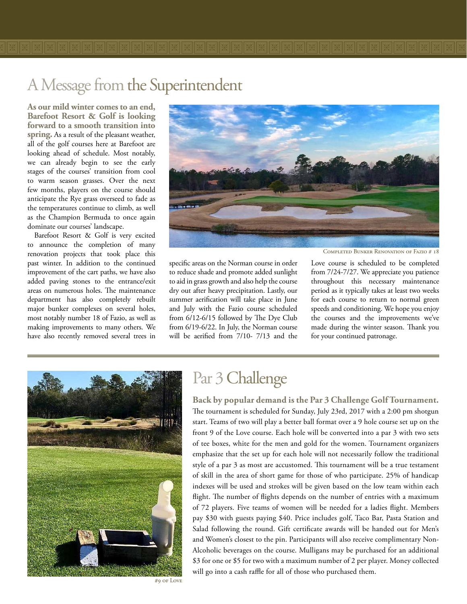**As our mild winter comes to an end, Barefoot Resort & Golf is looking forward to a smooth transition into spring.** As a result of the pleasant weather, all of the golf courses here at Barefoot are looking ahead of schedule. Most notably, we can already begin to see the early stages of the courses' transition from cool to warm season grasses. Over the next few months, players on the course should anticipate the Rye grass overseed to fade as the temperatures continue to climb, as well as the Champion Bermuda to once again dominate our courses' landscape.

Barefoot Resort & Golf is very excited to announce the completion of many renovation projects that took place this past winter. In addition to the continued improvement of the cart paths, we have also added paving stones to the entrance/exit areas on numerous holes. The maintenance department has also completely rebuilt major bunker complexes on several holes, most notably number 18 of Fazio, as well as making improvements to many others. We have also recently removed several trees in



specific areas on the Norman course in order to reduce shade and promote added sunlight to aid in grass growth and also help the course dry out after heavy precipitation. Lastly, our summer aerification will take place in June and July with the Fazio course scheduled from 6/12-6/15 followed by The Dye Club from 6/19-6/22. In July, the Norman course will be aerified from 7/10- 7/13 and the

Completed Bunker Renovation of Fazio # 18

Love course is scheduled to be completed from 7/24-7/27. We appreciate you patience throughout this necessary maintenance period as it typically takes at least two weeks for each course to return to normal green speeds and conditioning. We hope you enjoy the courses and the improvements we've made during the winter season. Thank you for your continued patronage.



## Par 3 Challenge

**Back by popular demand is the Par 3 Challenge Golf Tournament.** The tournament is scheduled for Sunday, July 23rd, 2017 with a 2:00 pm shotgun start. Teams of two will play a better ball format over a 9 hole course set up on the front 9 of the Love course. Each hole will be converted into a par 3 with two sets of tee boxes, white for the men and gold for the women. Tournament organizers emphasize that the set up for each hole will not necessarily follow the traditional style of a par 3 as most are accustomed. This tournament will be a true testament of skill in the area of short game for those of who participate. 25% of handicap indexes will be used and strokes will be given based on the low team within each flight. The number of flights depends on the number of entries with a maximum of 72 players. Five teams of women will be needed for a ladies flight. Members pay \$30 with guests paying \$40. Price includes golf, Taco Bar, Pasta Station and Salad following the round. Gift certificate awards will be handed out for Men's and Women's closest to the pin. Participants will also receive complimentary Non-Alcoholic beverages on the course. Mulligans may be purchased for an additional \$3 for one or \$5 for two with a maximum number of 2 per player. Money collected will go into a cash raffle for all of those who purchased them.

#9 of Love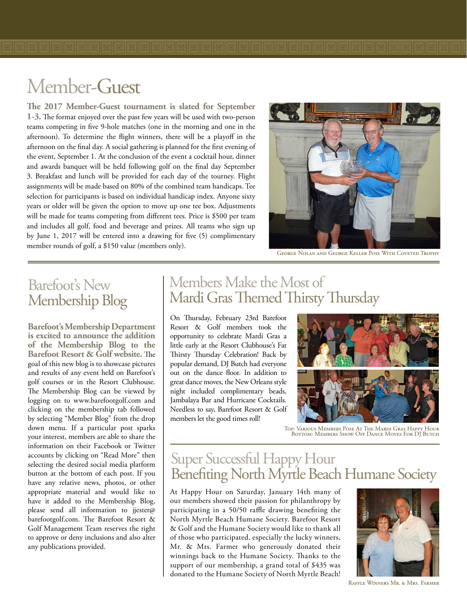**The 2017 Member-Guest tournament is slated for September 1-3.** The format enjoyed over the past few years will be used with two-person teams competing in five 9-hole matches (one in the morning and one in the afternoon). To determine the flight winners, there will be a playoff in the afternoon on the final day. A social gathering is planned for the first evening of the event, September 1. At the conclusion of the event a cocktail hour, dinner and awards banquet will be held following golf on the final day September 3. Breakfast and lunch will be provided for each day of the tourney. Flight assignments will be made based on 80% of the combined team handicaps. Tee selection for participants is based on individual handicap index. Anyone sixty years or older will be given the option to move up one tee box. Adjustments will be made for teams competing from different tees. Price is \$500 per team and includes all golf, food and beverage and prizes. All teams who sign up by June 1, 2017 will be entered into a drawing for five (5) complimentary member rounds of golf, a \$150 value (members only).

![](_page_2_Picture_2.jpeg)

George Nolan and George Keller Pose With Coveted Trophy

### Barefoot's New Membership Blog

**Barefoot's Membership Department is excited to announce the addition of the Membership Blog to the Barefoot Resort & Golf website.** The goal of this new blog is to showcase pictures and results of any event held on Barefoot's golf courses or in the Resort Clubhouse. The Membership Blog can be viewed by logging on to www.barefootgolf.com and clicking on the membership tab followed by selecting "Member Blog" from the drop down menu. If a particular post sparks your interest, members are able to share the information on their Facebook or Twitter accounts by clicking on "Read More" then selecting the desired social media platform button at the bottom of each post. If you have any relative news, photos, or other appropriate material and would like to have it added to the Membership Blog, please send all information to jjester@ barefootgolf.com. The Barefoot Resort & Golf Management Team reserves the right to approve or deny inclusions and also alter any publications provided.

#### Members Make the Most of Mardi Gras Themed Thirsty Thursday

On Thursday, February 23rd Barefoot Resort & Golf members took the opportunity to celebrate Mardi Gras a little early at the Resort Clubhouse's Fat Thirsty Thursday Celebration! Back by popular demand, DJ Butch had everyone out on the dance floor. In addition to great dance moves, the New Orleans style night included complimentary beads, Jambalaya Bar and Hurricane Cocktails. Needless to say, Barefoot Resort & Golf members let the good times roll!

![](_page_2_Picture_8.jpeg)

Top: Various Members Pose At The Mardi Gras Happy Hour Bottom: Members Show Off Dance Moves For DJ Butch

#### Super Successful Happy Hour Benefiting North Myrtle Beach Humane Society

At Happy Hour on Saturday, January 14th many of our members showed their passion for philanthropy by participating in a 50/50 raffle drawing benefiting the North Myrtle Beach Humane Society. Barefoot Resort & Golf and the Humane Society would like to thank all of those who participated, especially the lucky winners, Mr. & Mrs. Farmer who generously donated their winnings back to the Humane Society. Thanks to the support of our membership, a grand total of \$435 was donated to the Humane Society of North Myrtle Beach!

![](_page_2_Picture_12.jpeg)

Raffle Winners Mr. & Mrs. Farmer